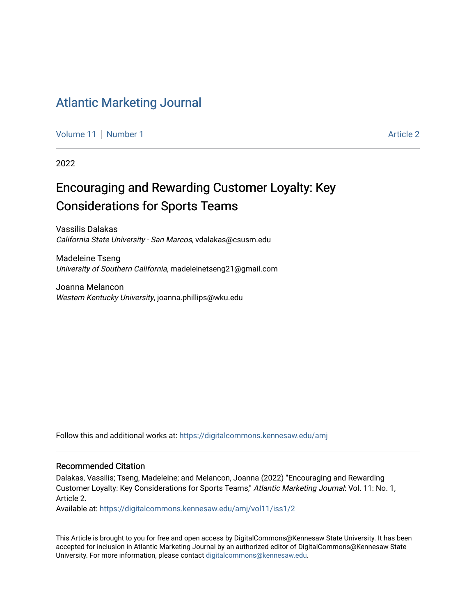# [Atlantic Marketing Journal](https://digitalcommons.kennesaw.edu/amj)

[Volume 11](https://digitalcommons.kennesaw.edu/amj/vol11) [Number 1](https://digitalcommons.kennesaw.edu/amj/vol11/iss1) Article 2

2022

# Encouraging and Rewarding Customer Loyalty: Key Considerations for Sports Teams

Vassilis Dalakas California State University - San Marcos, vdalakas@csusm.edu

Madeleine Tseng University of Southern California, madeleinetseng21@gmail.com

Joanna Melancon Western Kentucky University, joanna.phillips@wku.edu

Follow this and additional works at: [https://digitalcommons.kennesaw.edu/amj](https://digitalcommons.kennesaw.edu/amj?utm_source=digitalcommons.kennesaw.edu%2Famj%2Fvol11%2Fiss1%2F2&utm_medium=PDF&utm_campaign=PDFCoverPages) 

#### Recommended Citation

Dalakas, Vassilis; Tseng, Madeleine; and Melancon, Joanna (2022) "Encouraging and Rewarding Customer Loyalty: Key Considerations for Sports Teams," Atlantic Marketing Journal: Vol. 11: No. 1, Article 2.

Available at: [https://digitalcommons.kennesaw.edu/amj/vol11/iss1/2](https://digitalcommons.kennesaw.edu/amj/vol11/iss1/2?utm_source=digitalcommons.kennesaw.edu%2Famj%2Fvol11%2Fiss1%2F2&utm_medium=PDF&utm_campaign=PDFCoverPages) 

This Article is brought to you for free and open access by DigitalCommons@Kennesaw State University. It has been accepted for inclusion in Atlantic Marketing Journal by an authorized editor of DigitalCommons@Kennesaw State University. For more information, please contact [digitalcommons@kennesaw.edu.](mailto:digitalcommons@kennesaw.edu)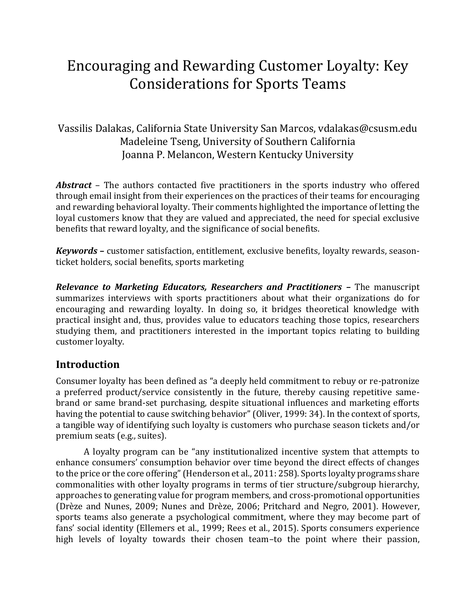# Encouraging and Rewarding Customer Loyalty: Key Considerations for Sports Teams

# Vassilis Dalakas, California State University San Marcos, vdalakas@csusm.edu Madeleine Tseng, University of Southern California Joanna P. Melancon, Western Kentucky University

*Abstract* – The authors contacted five practitioners in the sports industry who offered through email insight from their experiences on the practices of their teams for encouraging and rewarding behavioral loyalty. Their comments highlighted the importance of letting the loyal customers know that they are valued and appreciated, the need for special exclusive benefits that reward loyalty, and the significance of social benefits.

*Keywords –* customer satisfaction, entitlement, exclusive benefits, loyalty rewards, seasonticket holders, social benefits, sports marketing

*Relevance to Marketing Educators, Researchers and Practitioners –* The manuscript summarizes interviews with sports practitioners about what their organizations do for encouraging and rewarding loyalty. In doing so, it bridges theoretical knowledge with practical insight and, thus, provides value to educators teaching those topics, researchers studying them, and practitioners interested in the important topics relating to building customer loyalty.

# **Introduction**

Consumer loyalty has been defined as "a deeply held commitment to rebuy or re-patronize a preferred product/service consistently in the future, thereby causing repetitive samebrand or same brand-set purchasing, despite situational influences and marketing efforts having the potential to cause switching behavior" (Oliver, 1999: 34). In the context of sports, a tangible way of identifying such loyalty is customers who purchase season tickets and/or premium seats (e.g., suites).

A loyalty program can be "any institutionalized incentive system that attempts to enhance consumers' consumption behavior over time beyond the direct effects of changes to the price or the core offering" (Henderson et al., 2011: 258). Sports loyalty programs share commonalities with other loyalty programs in terms of tier structure/subgroup hierarchy, approaches to generating value for program members, and cross-promotional opportunities (Drèze and Nunes, 2009; Nunes and Drèze, 2006; Pritchard and Negro, 2001). However, sports teams also generate a psychological commitment, where they may become part of fans' social identity (Ellemers et al., 1999; Rees et al., 2015). Sports consumers experience high levels of loyalty towards their chosen team–to the point where their passion,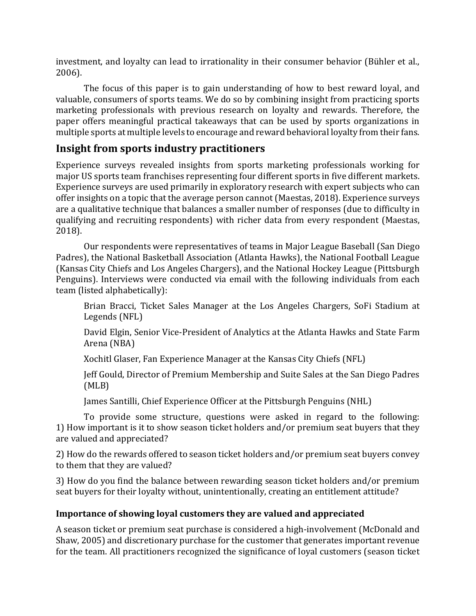investment, and loyalty can lead to irrationality in their consumer behavior (Bühler et al., 2006).

The focus of this paper is to gain understanding of how to best reward loyal, and valuable, consumers of sports teams. We do so by combining insight from practicing sports marketing professionals with previous research on loyalty and rewards. Therefore, the paper offers meaningful practical takeaways that can be used by sports organizations in multiple sports at multiple levels to encourage and reward behavioral loyalty from their fans.

# **Insight from sports industry practitioners**

Experience surveys revealed insights from sports marketing professionals working for major US sports team franchises representing four different sports in five different markets. Experience surveys are used primarily in exploratory research with expert subjects who can offer insights on a topic that the average person cannot (Maestas, 2018). Experience surveys are a qualitative technique that balances a smaller number of responses (due to difficulty in qualifying and recruiting respondents) with richer data from every respondent (Maestas, 2018).

Our respondents were representatives of teams in Major League Baseball (San Diego Padres), the National Basketball Association (Atlanta Hawks), the National Football League (Kansas City Chiefs and Los Angeles Chargers), and the National Hockey League (Pittsburgh Penguins). Interviews were conducted via email with the following individuals from each team (listed alphabetically):

Brian Bracci, Ticket Sales Manager at the Los Angeles Chargers, SoFi Stadium at Legends (NFL)

David Elgin, Senior Vice-President of Analytics at the Atlanta Hawks and State Farm Arena (NBA)

Xochitl Glaser, Fan Experience Manager at the Kansas City Chiefs (NFL)

Jeff Gould, Director of Premium Membership and Suite Sales at the San Diego Padres (MLB)

James Santilli, Chief Experience Officer at the Pittsburgh Penguins (NHL)

To provide some structure, questions were asked in regard to the following: 1) How important is it to show season ticket holders and/or premium seat buyers that they are valued and appreciated?

2) How do the rewards offered to season ticket holders and/or premium seat buyers convey to them that they are valued?

3) How do you find the balance between rewarding season ticket holders and/or premium seat buyers for their loyalty without, unintentionally, creating an entitlement attitude?

# **Importance of showing loyal customers they are valued and appreciated**

A season ticket or premium seat purchase is considered a high-involvement (McDonald and Shaw, 2005) and discretionary purchase for the customer that generates important revenue for the team. All practitioners recognized the significance of loyal customers (season ticket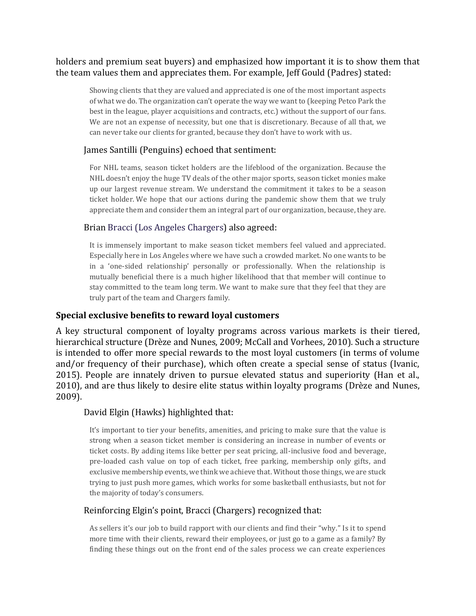## holders and premium seat buyers) and emphasized how important it is to show them that the team values them and appreciates them. For example, Jeff Gould (Padres) stated:

Showing clients that they are valued and appreciated is one of the most important aspects of what we do. The organization can't operate the way we want to (keeping Petco Park the best in the league, player acquisitions and contracts, etc.) without the support of our fans. We are not an expense of necessity, but one that is discretionary. Because of all that, we can never take our clients for granted, because they don't have to work with us.

## James Santilli (Penguins) echoed that sentiment:

For NHL teams, season ticket holders are the lifeblood of the organization. Because the NHL doesn't enjoy the huge TV deals of the other major sports, season ticket monies make up our largest revenue stream. We understand the commitment it takes to be a season ticket holder. We hope that our actions during the pandemic show them that we truly appreciate them and consider them an integral part of our organization, because, they are.

## Brian Bracci (Los Angeles Chargers) also agreed:

It is immensely important to make season ticket members feel valued and appreciated. Especially here in Los Angeles where we have such a crowded market. No one wants to be in a 'one-sided relationship' personally or professionally. When the relationship is mutually beneficial there is a much higher likelihood that that member will continue to stay committed to the team long term. We want to make sure that they feel that they are truly part of the team and Chargers family.

## **Special exclusive benefits to reward loyal customers**

A key structural component of loyalty programs across various markets is their tiered, hierarchical structure (Drèze and Nunes, 2009; McCall and Vorhees, 2010). Such a structure is intended to offer more special rewards to the most loyal customers (in terms of volume and/or frequency of their purchase), which often create a special sense of status (Ivanic, 2015). People are innately driven to pursue elevated status and superiority (Han et al., 2010), and are thus likely to desire elite status within loyalty programs (Drèze and Nunes, 2009).

## David Elgin (Hawks) highlighted that:

It's important to tier your benefits, amenities, and pricing to make sure that the value is strong when a season ticket member is considering an increase in number of events or ticket costs. By adding items like better per seat pricing, all-inclusive food and beverage, pre-loaded cash value on top of each ticket, free parking, membership only gifts, and exclusive membership events, we think we achieve that. Without those things, we are stuck trying to just push more games, which works for some basketball enthusiasts, but not for the majority of today's consumers.

## Reinforcing Elgin's point, Bracci (Chargers) recognized that:

As sellers it's our job to build rapport with our clients and find their "why." Is it to spend more time with their clients, reward their employees, or just go to a game as a family? By finding these things out on the front end of the sales process we can create experiences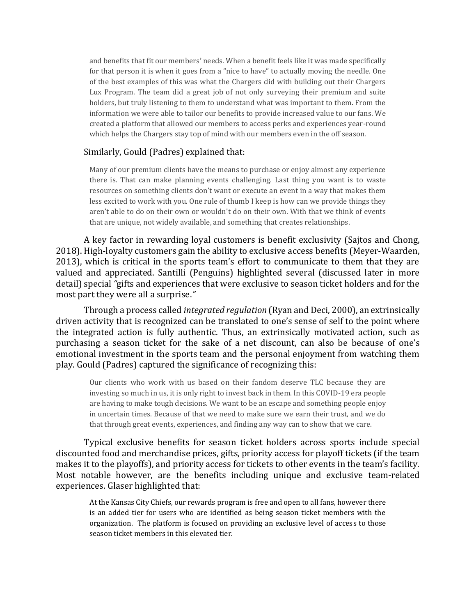and benefits that fit our members' needs. When a benefit feels like it was made specifically for that person it is when it goes from a "nice to have" to actually moving the needle. One of the best examples of this was what the Chargers did with building out their Chargers Lux Program. The team did a great job of not only surveying their premium and suite holders, but truly listening to them to understand what was important to them. From the information we were able to tailor our benefits to provide increased value to our fans. We created a platform that allowed our members to access perks and experiences year-round which helps the Chargers stay top of mind with our members even in the off season.

#### Similarly, Gould (Padres) explained that:

Many of our premium clients have the means to purchase or enjoy almost any experience there is. That can make planning events challenging. Last thing you want is to waste resources on something clients don't want or execute an event in a way that makes them less excited to work with you. One rule of thumb I keep is how can we provide things they aren't able to do on their own or wouldn't do on their own. With that we think of events that are unique, not widely available, and something that creates relationships.

A key factor in rewarding loyal customers is benefit exclusivity (Sajtos and Chong, 2018). High-loyalty customers gain the ability to exclusive access benefits (Meyer-Waarden, 2013), which is critical in the sports team's effort to communicate to them that they are valued and appreciated. Santilli (Penguins) highlighted several (discussed later in more detail) special *"*gifts and experiences that were exclusive to season ticket holders and for the most part they were all a surprise.*"*

Through a process called *integrated regulation* (Ryan and Deci, 2000), an extrinsically driven activity that is recognized can be translated to one's sense of self to the point where the integrated action is fully authentic. Thus, an extrinsically motivated action, such as purchasing a season ticket for the sake of a net discount, can also be because of one's emotional investment in the sports team and the personal enjoyment from watching them play. Gould (Padres) captured the significance of recognizing this:

Our clients who work with us based on their fandom deserve TLC because they are investing so much in us, it is only right to invest back in them. In this COVID-19 era people are having to make tough decisions. We want to be an escape and something people enjoy in uncertain times. Because of that we need to make sure we earn their trust, and we do that through great events, experiences, and finding any way can to show that we care.

Typical exclusive benefits for season ticket holders across sports include special discounted food and merchandise prices, gifts, priority access for playoff tickets (if the team makes it to the playoffs), and priority access for tickets to other events in the team's facility. Most notable however, are the benefits including unique and exclusive team-related experiences. Glaser highlighted that:

At the Kansas City Chiefs, our rewards program is free and open to all fans, however there is an added tier for users who are identified as being season ticket members with the organization. The platform is focused on providing an exclusive level of access to those season ticket members in this elevated tier.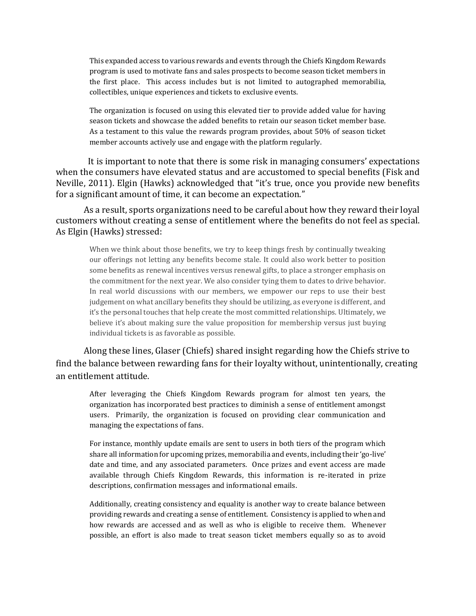This expanded access to various rewards and events through the Chiefs Kingdom Rewards program is used to motivate fans and sales prospects to become season ticket members in the first place. This access includes but is not limited to autographed memorabilia, collectibles, unique experiences and tickets to exclusive events.

The organization is focused on using this elevated tier to provide added value for having season tickets and showcase the added benefits to retain our season ticket member base. As a testament to this value the rewards program provides, about 50% of season ticket member accounts actively use and engage with the platform regularly.

It is important to note that there is some risk in managing consumers' expectations when the consumers have elevated status and are accustomed to special benefits (Fisk and Neville, 2011). Elgin (Hawks) acknowledged that "it's true, once you provide new benefits for a significant amount of time, it can become an expectation."

As a result, sports organizations need to be careful about how they reward their loyal customers without creating a sense of entitlement where the benefits do not feel as special. As Elgin (Hawks) stressed:

When we think about those benefits, we try to keep things fresh by continually tweaking our offerings not letting any benefits become stale. It could also work better to position some benefits as renewal incentives versus renewal gifts, to place a stronger emphasis on the commitment for the next year. We also consider tying them to dates to drive behavior. In real world discussions with our members, we empower our reps to use their best judgement on what ancillary benefits they should be utilizing, as everyone is different, and it's the personal touches that help create the most committed relationships. Ultimately, we believe it's about making sure the value proposition for membership versus just buying individual tickets is as favorable as possible.

Along these lines, Glaser (Chiefs) shared insight regarding how the Chiefs strive to find the balance between rewarding fans for their loyalty without, unintentionally, creating an entitlement attitude.

After leveraging the Chiefs Kingdom Rewards program for almost ten years, the organization has incorporated best practices to diminish a sense of entitlement amongst users. Primarily, the organization is focused on providing clear communication and managing the expectations of fans.

For instance, monthly update emails are sent to users in both tiers of the program which share all information for upcoming prizes, memorabilia and events, including their 'go-live' date and time, and any associated parameters. Once prizes and event access are made available through Chiefs Kingdom Rewards, this information is re-iterated in prize descriptions, confirmation messages and informational emails.

Additionally, creating consistency and equality is another way to create balance between providing rewards and creating a sense of entitlement. Consistency is applied to when and how rewards are accessed and as well as who is eligible to receive them. Whenever possible, an effort is also made to treat season ticket members equally so as to avoid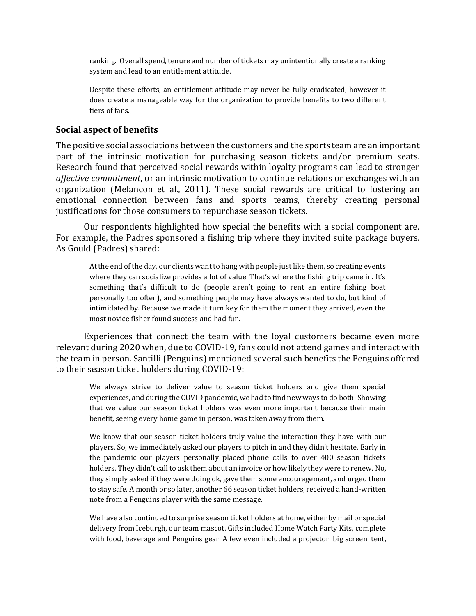ranking. Overall spend, tenure and number of tickets may unintentionally create a ranking system and lead to an entitlement attitude.

Despite these efforts, an entitlement attitude may never be fully eradicated, however it does create a manageable way for the organization to provide benefits to two different tiers of fans.

#### **Social aspect of benefits**

The positive social associations between the customers and the sports team are an important part of the intrinsic motivation for purchasing season tickets and/or premium seats. Research found that perceived social rewards within loyalty programs can lead to stronger *affective commitment*, or an intrinsic motivation to continue relations or exchanges with an organization (Melancon et al., 2011). These social rewards are critical to fostering an emotional connection between fans and sports teams, thereby creating personal justifications for those consumers to repurchase season tickets.

Our respondents highlighted how special the benefits with a social component are. For example, the Padres sponsored a fishing trip where they invited suite package buyers. As Gould (Padres) shared:

At the end of the day, our clients want to hang with people just like them, so creating events where they can socialize provides a lot of value. That's where the fishing trip came in. It's something that's difficult to do (people aren't going to rent an entire fishing boat personally too often), and something people may have always wanted to do, but kind of intimidated by. Because we made it turn key for them the moment they arrived, even the most novice fisher found success and had fun.

Experiences that connect the team with the loyal customers became even more relevant during 2020 when, due to COVID-19, fans could not attend games and interact with the team in person.Santilli (Penguins) mentioned several such benefits the Penguins offered to their season ticket holders during COVID-19:

We always strive to deliver value to season ticket holders and give them special experiences, and during the COVID pandemic, we had to find new ways to do both. Showing that we value our season ticket holders was even more important because their main benefit, seeing every home game in person, was taken away from them.

We know that our season ticket holders truly value the interaction they have with our players. So, we immediately asked our players to pitch in and they didn't hesitate. Early in the pandemic our players personally placed phone calls to over 400 season tickets holders. They didn't call to ask them about an invoice or how likely they were to renew. No, they simply asked if they were doing ok, gave them some encouragement, and urged them to stay safe. A month or so later, another 66 season ticket holders, received a hand-written note from a Penguins player with the same message.

We have also continued to surprise season ticket holders at home, either by mail or special delivery from Iceburgh, our team mascot. Gifts included Home Watch Party Kits, complete with food, beverage and Penguins gear. A few even included a projector, big screen, tent,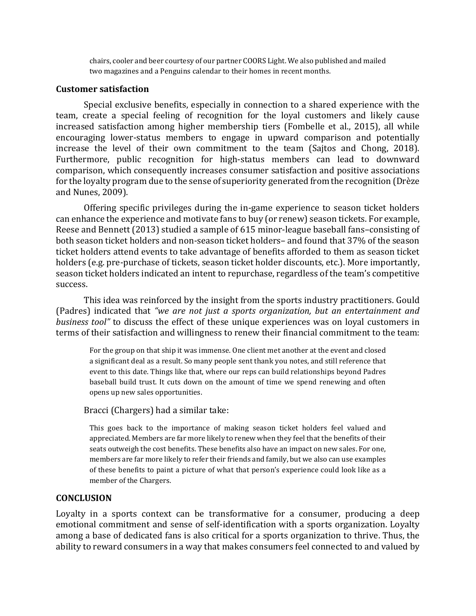chairs, cooler and beer courtesy of our partner COORS Light. We also published and mailed two magazines and a Penguins calendar to their homes in recent months.

#### **Customer satisfaction**

Special exclusive benefits, especially in connection to a shared experience with the team, create a special feeling of recognition for the loyal customers and likely cause increased satisfaction among higher membership tiers (Fombelle et al., 2015), all while encouraging lower-status members to engage in upward comparison and potentially increase the level of their own commitment to the team (Sajtos and Chong, 2018). Furthermore, public recognition for high-status members can lead to downward comparison, which consequently increases consumer satisfaction and positive associations for the loyalty program due to the sense of superiority generated from the recognition (Drèze and Nunes, 2009).

Offering specific privileges during the in-game experience to season ticket holders can enhance the experience and motivate fans to buy (or renew) season tickets. For example, Reese and Bennett (2013) studied a sample of 615 minor-league baseball fans–consisting of both season ticket holders and non-season ticket holders– and found that 37% of the season ticket holders attend events to take advantage of benefits afforded to them as season ticket holders (e.g. pre-purchase of tickets, season ticket holder discounts, etc.). More importantly, season ticket holders indicated an intent to repurchase, regardless of the team's competitive success.

This idea was reinforced by the insight from the sports industry practitioners. Gould (Padres) indicated that *"we are not just a sports organization, but an entertainment and business tool"* to discuss the effect of these unique experiences was on loyal customers in terms of their satisfaction and willingness to renew their financial commitment to the team:

For the group on that ship it was immense. One client met another at the event and closed a significant deal as a result. So many people sent thank you notes, and still reference that event to this date. Things like that, where our reps can build relationships beyond Padres baseball build trust. It cuts down on the amount of time we spend renewing and often opens up new sales opportunities.

#### Bracci (Chargers) had a similar take:

This goes back to the importance of making season ticket holders feel valued and appreciated. Members are far more likely to renew when they feel that the benefits of their seats outweigh the cost benefits. These benefits also have an impact on new sales. For one, members are far more likely to refer their friends and family, but we also can use examples of these benefits to paint a picture of what that person's experience could look like as a member of the Chargers.

#### **CONCLUSION**

Loyalty in a sports context can be transformative for a consumer, producing a deep emotional commitment and sense of self-identification with a sports organization. Loyalty among a base of dedicated fans is also critical for a sports organization to thrive. Thus, the ability to reward consumers in a way that makes consumers feel connected to and valued by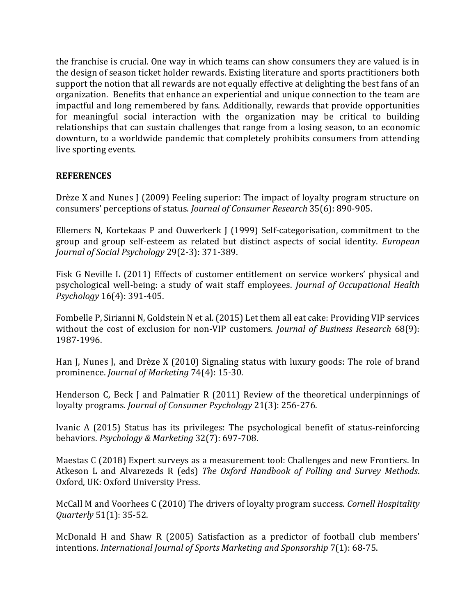the franchise is crucial. One way in which teams can show consumers they are valued is in the design of season ticket holder rewards. Existing literature and sports practitioners both support the notion that all rewards are not equally effective at delighting the best fans of an organization. Benefits that enhance an experiential and unique connection to the team are impactful and long remembered by fans. Additionally, rewards that provide opportunities for meaningful social interaction with the organization may be critical to building relationships that can sustain challenges that range from a losing season, to an economic downturn, to a worldwide pandemic that completely prohibits consumers from attending live sporting events.

## **REFERENCES**

Drèze X and Nunes J (2009) Feeling superior: The impact of loyalty program structure on consumers' perceptions of status. *Journal of Consumer Research* 35(6): 890-905.

Ellemers N, Kortekaas P and Ouwerkerk J (1999) Self-categorisation, commitment to the group and group self-esteem as related but distinct aspects of social identity. *European Journal of Social Psychology* 29(2-3): 371-389.

Fisk G Neville L (2011) Effects of customer entitlement on service workers' physical and psychological well-being: a study of wait staff employees. *Journal of Occupational Health Psychology* 16(4): 391-405.

Fombelle P, Sirianni N, Goldstein N et al. (2015) Let them all eat cake: Providing VIP services without the cost of exclusion for non-VIP customers. *Journal of Business Research* 68(9): 1987-1996.

Han J, Nunes J, and Drèze X (2010) Signaling status with luxury goods: The role of brand prominence. *Journal of Marketing* 74(4): 15-30.

Henderson C, Beck J and Palmatier R (2011) Review of the theoretical underpinnings of loyalty programs. *Journal of Consumer Psychology* 21(3): 256-276.

Ivanic A (2015) Status has its privileges: The psychological benefit of status‐reinforcing behaviors. *Psychology & Marketing* 32(7): 697-708.

Maestas C (2018) Expert surveys as a measurement tool: Challenges and new Frontiers. In Atkeson L and Alvarezeds R (eds) *The Oxford Handbook of Polling and Survey Methods*. Oxford, UK: Oxford University Press.

McCall M and Voorhees C (2010) The drivers of loyalty program success. *Cornell Hospitality Quarterly* 51(1): 35-52.

McDonald H and Shaw R (2005) Satisfaction as a predictor of football club members' intentions. *International Journal of Sports Marketing and Sponsorship* 7(1): 68-75.